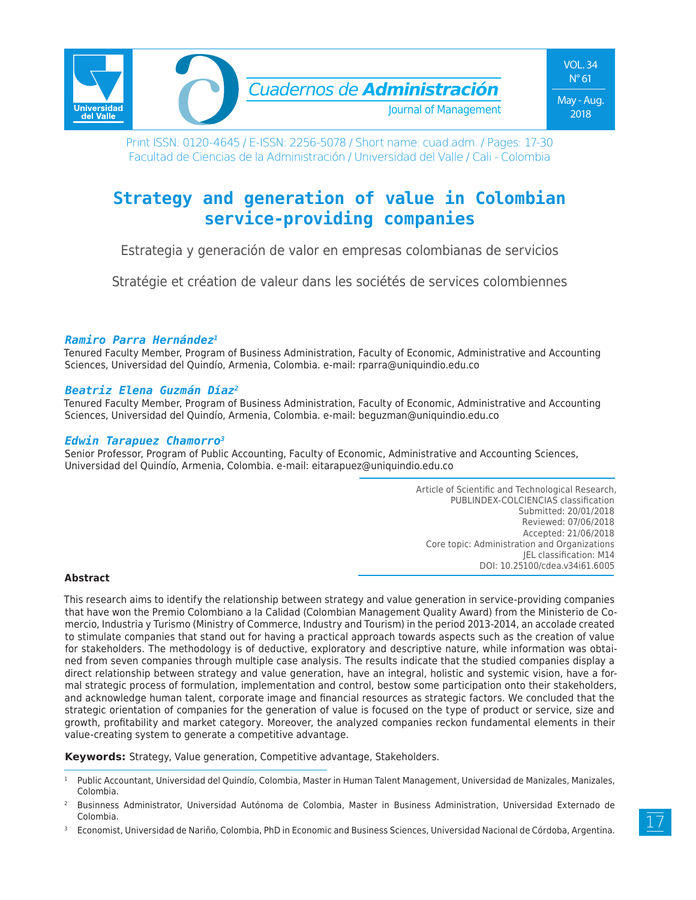

Print ISSN: 0120-4645 / E-ISSN: 2256-5078 / Short name: cuad.adm. / Pages: 17-30 Facultad de Ciencias de la Administración / Universidad del Valle / Cali - Colombia

# **Strategy and generation of value in Colombian service-providing companies**

Estrategia y generación de valor en empresas colombianas de servicios

Stratégie et création de valeur dans les sociétés de services colombiennes

#### *Ramiro Parra Hernández1*

Tenured Faculty Member, Program of Business Administration, Faculty of Economic, Administrative and Accounting Sciences, Universidad del Quindío, Armenia, Colombia. e-mail: rparra@uniquindio.edu.co

#### *Beatriz Elena Guzmán Díaz2*

Tenured Faculty Member, Program of Business Administration, Faculty of Economic, Administrative and Accounting Sciences, Universidad del Quindío, Armenia, Colombia. e-mail: beguzman@uniquindio.edu.co

## *Edwin Tarapuez Chamorro3*

Senior Professor, Program of Public Accounting, Faculty of Economic, Administrative and Accounting Sciences, Universidad del Quindío, Armenia, Colombia. e-mail: eitarapuez@uniquindio.edu.co

> Article of Scientific and Technological Research, PUBLINDEX-COLCIENCIAS classification Submitted: 20/01/2018 Reviewed: 07/06/2018 Accepted: 21/06/2018 Core topic: Administration and Organizations JEL classification: M14 DOI: 10.25100/cdea.v34i61.6005

#### **Abstract**

This research aims to identify the relationship between strategy and value generation in service-providing companies that have won the Premio Colombiano a la Calidad (Colombian Management Quality Award) from the Ministerio de Comercio, Industria y Turismo (Ministry of Commerce, Industry and Tourism) in the period 2013-2014, an accolade created to stimulate companies that stand out for having a practical approach towards aspects such as the creation of value for stakeholders. The methodology is of deductive, exploratory and descriptive nature, while information was obtained from seven companies through multiple case analysis. The results indicate that the studied companies display a direct relationship between strategy and value generation, have an integral, holistic and systemic vision, have a formal strategic process of formulation, implementation and control, bestow some participation onto their stakeholders, and acknowledge human talent, corporate image and financial resources as strategic factors. We concluded that the strategic orientation of companies for the generation of value is focused on the type of product or service, size and growth, profitability and market category. Moreover, the analyzed companies reckon fundamental elements in their value-creating system to generate a competitive advantage.

**Keywords:** Strategy, Value generation, Competitive advantage, Stakeholders.

<sup>3</sup> Economist, Universidad de Nariño, Colombia, PhD in Economic and Business Sciences, Universidad Nacional de Córdoba, Argentina.

Public Accountant, Universidad del Quindío, Colombia, Master in Human Talent Management, Universidad de Manizales, Manizales, Colombia.

<sup>2</sup> Businness Administrator, Universidad Autónoma de Colombia, Master in Business Administration, Universidad Externado de Colombia.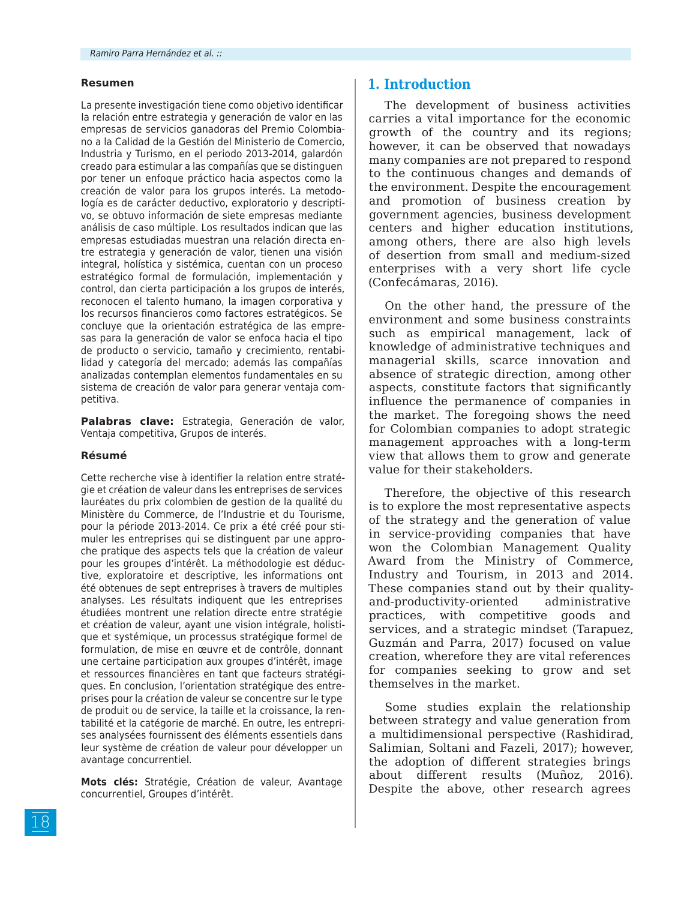#### **Resumen**

La presente investigación tiene como objetivo identificar la relación entre estrategia y generación de valor en las empresas de servicios ganadoras del Premio Colombiano a la Calidad de la Gestión del Ministerio de Comercio, Industria y Turismo, en el periodo 2013-2014, galardón creado para estimular a las compañías que se distinguen por tener un enfoque práctico hacia aspectos como la creación de valor para los grupos interés. La metodología es de carácter deductivo, exploratorio y descriptivo, se obtuvo información de siete empresas mediante análisis de caso múltiple. Los resultados indican que las empresas estudiadas muestran una relación directa entre estrategia y generación de valor, tienen una visión integral, holística y sistémica, cuentan con un proceso estratégico formal de formulación, implementación y control, dan cierta participación a los grupos de interés, reconocen el talento humano, la imagen corporativa y los recursos financieros como factores estratégicos. Se concluye que la orientación estratégica de las empresas para la generación de valor se enfoca hacia el tipo de producto o servicio, tamaño y crecimiento, rentabilidad y categoría del mercado; además las compañías analizadas contemplan elementos fundamentales en su sistema de creación de valor para generar ventaja competitiva.

**Palabras clave:** Estrategia, Generación de valor, Ventaja competitiva, Grupos de interés.

#### **Résumé**

Cette recherche vise à identifier la relation entre stratégie et création de valeur dans les entreprises de services lauréates du prix colombien de gestion de la qualité du Ministère du Commerce, de l'Industrie et du Tourisme, pour la période 2013-2014. Ce prix a été créé pour stimuler les entreprises qui se distinguent par une approche pratique des aspects tels que la création de valeur pour les groupes d'intérêt. La méthodologie est déductive, exploratoire et descriptive, les informations ont été obtenues de sept entreprises à travers de multiples analyses. Les résultats indiquent que les entreprises étudiées montrent une relation directe entre stratégie et création de valeur, ayant une vision intégrale, holistique et systémique, un processus stratégique formel de formulation, de mise en œuvre et de contrôle, donnant une certaine participation aux groupes d'intérêt, image et ressources financières en tant que facteurs stratégiques. En conclusion, l'orientation stratégique des entreprises pour la création de valeur se concentre sur le type de produit ou de service, la taille et la croissance, la rentabilité et la catégorie de marché. En outre, les entreprises analysées fournissent des éléments essentiels dans leur système de création de valeur pour développer un avantage concurrentiel.

**Mots clés:** Stratégie, Création de valeur, Avantage concurrentiel, Groupes d'intérêt.

#### **1. Introduction**

The development of business activities carries a vital importance for the economic growth of the country and its regions; however, it can be observed that nowadays many companies are not prepared to respond to the continuous changes and demands of the environment. Despite the encouragement and promotion of business creation by government agencies, business development centers and higher education institutions, among others, there are also high levels of desertion from small and medium-sized enterprises with a very short life cycle (Confecámaras, 2016).

On the other hand, the pressure of the environment and some business constraints such as empirical management, lack of knowledge of administrative techniques and managerial skills, scarce innovation and absence of strategic direction, among other aspects, constitute factors that significantly influence the permanence of companies in the market. The foregoing shows the need for Colombian companies to adopt strategic management approaches with a long-term view that allows them to grow and generate value for their stakeholders.

Therefore, the objective of this research is to explore the most representative aspects of the strategy and the generation of value in service-providing companies that have won the Colombian Management Quality Award from the Ministry of Commerce, Industry and Tourism, in 2013 and 2014. These companies stand out by their qualityand-productivity-oriented administrative practices, with competitive goods and services, and a strategic mindset (Tarapuez, Guzmán and Parra, 2017) focused on value creation, wherefore they are vital references for companies seeking to grow and set themselves in the market.

Some studies explain the relationship between strategy and value generation from a multidimensional perspective (Rashidirad, Salimian, Soltani and Fazeli, 2017); however, the adoption of different strategies brings about different results (Muñoz, 2016). Despite the above, other research agrees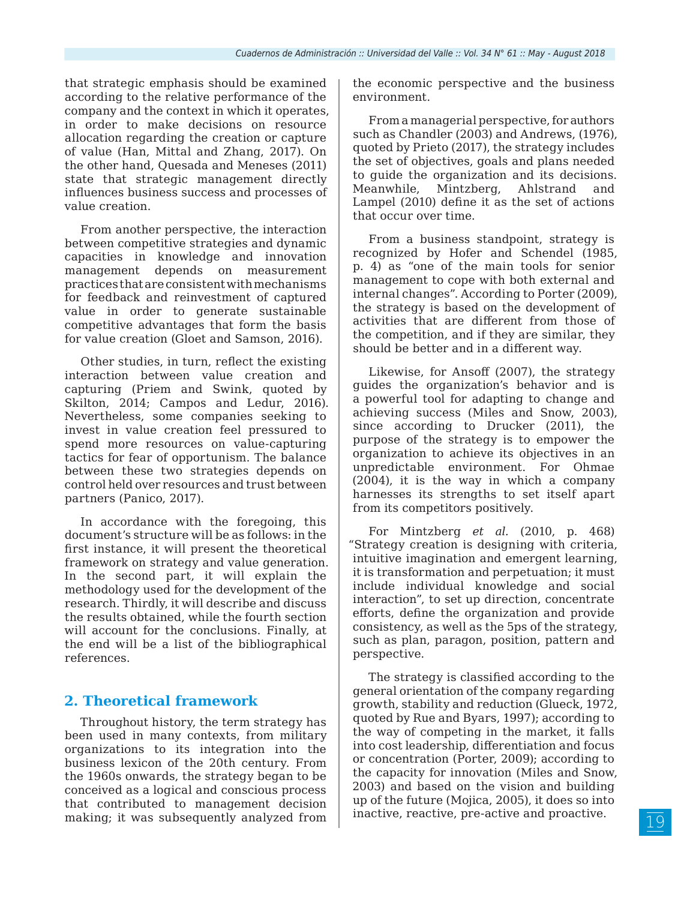that strategic emphasis should be examined according to the relative performance of the company and the context in which it operates, in order to make decisions on resource allocation regarding the creation or capture of value (Han, Mittal and Zhang, 2017). On the other hand, Quesada and Meneses (2011) state that strategic management directly influences business success and processes of value creation.

From another perspective, the interaction between competitive strategies and dynamic capacities in knowledge and innovation management depends on measurement practices that are consistent with mechanisms for feedback and reinvestment of captured value in order to generate sustainable competitive advantages that form the basis for value creation (Gloet and Samson, 2016).

Other studies, in turn, reflect the existing interaction between value creation and capturing (Priem and Swink, quoted by Skilton, 2014; Campos and Ledur, 2016). Nevertheless, some companies seeking to invest in value creation feel pressured to spend more resources on value-capturing tactics for fear of opportunism. The balance between these two strategies depends on control held over resources and trust between partners (Panico, 2017).

In accordance with the foregoing, this document's structure will be as follows: in the first instance, it will present the theoretical framework on strategy and value generation. In the second part, it will explain the methodology used for the development of the research. Thirdly, it will describe and discuss the results obtained, while the fourth section will account for the conclusions. Finally, at the end will be a list of the bibliographical references.

# **2. Theoretical framework**

Throughout history, the term strategy has been used in many contexts, from military organizations to its integration into the business lexicon of the 20th century. From the 1960s onwards, the strategy began to be conceived as a logical and conscious process that contributed to management decision making; it was subsequently analyzed from the economic perspective and the business environment.

From a managerial perspective, for authors such as Chandler (2003) and Andrews, (1976), quoted by Prieto (2017), the strategy includes the set of objectives, goals and plans needed to guide the organization and its decisions. Meanwhile, Mintzberg, Ahlstrand and Lampel (2010) define it as the set of actions that occur over time.

From a business standpoint, strategy is recognized by Hofer and Schendel (1985, p. 4) as "one of the main tools for senior management to cope with both external and internal changes". According to Porter (2009), the strategy is based on the development of activities that are different from those of the competition, and if they are similar, they should be better and in a different way.

Likewise, for Ansoff (2007), the strategy guides the organization's behavior and is a powerful tool for adapting to change and achieving success (Miles and Snow, 2003), since according to Drucker (2011), the purpose of the strategy is to empower the organization to achieve its objectives in an unpredictable environment. For Ohmae (2004), it is the way in which a company harnesses its strengths to set itself apart from its competitors positively.

For Mintzberg *et al.* (2010, p. 468) "Strategy creation is designing with criteria, intuitive imagination and emergent learning, it is transformation and perpetuation; it must include individual knowledge and social interaction", to set up direction, concentrate efforts, define the organization and provide consistency, as well as the 5ps of the strategy, such as plan, paragon, position, pattern and perspective.

The strategy is classified according to the general orientation of the company regarding growth, stability and reduction (Glueck, 1972, quoted by Rue and Byars, 1997); according to the way of competing in the market, it falls into cost leadership, differentiation and focus or concentration (Porter, 2009); according to the capacity for innovation (Miles and Snow, 2003) and based on the vision and building up of the future (Mojica, 2005), it does so into inactive, reactive, pre-active and proactive.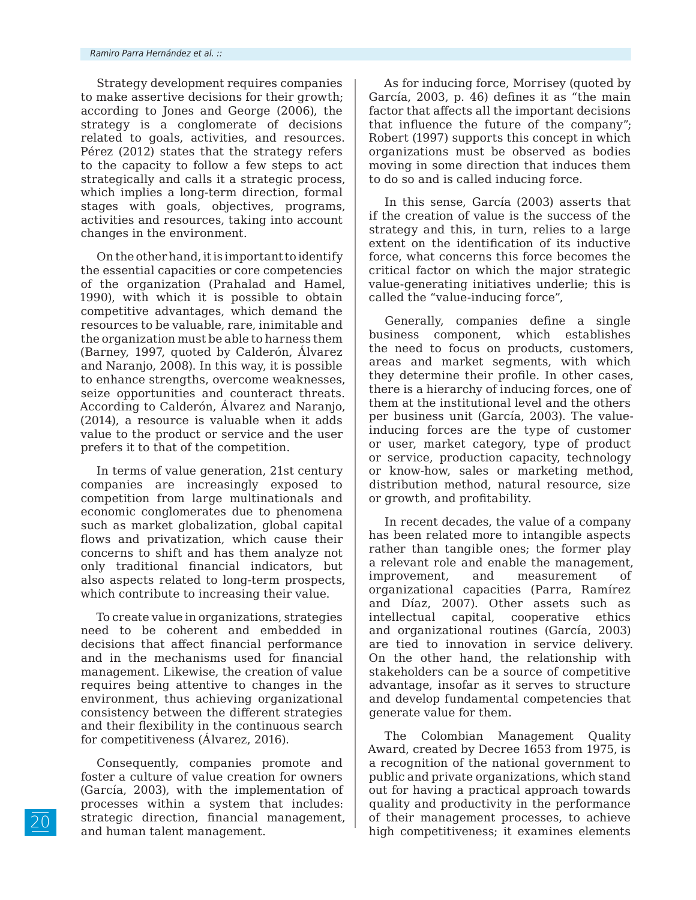Strategy development requires companies to make assertive decisions for their growth; according to Jones and George (2006), the strategy is a conglomerate of decisions related to goals, activities, and resources. Pérez (2012) states that the strategy refers to the capacity to follow a few steps to act strategically and calls it a strategic process, which implies a long-term direction, formal stages with goals, objectives, programs, activities and resources, taking into account changes in the environment.

On the other hand, it is important to identify the essential capacities or core competencies of the organization (Prahalad and Hamel, 1990), with which it is possible to obtain competitive advantages, which demand the resources to be valuable, rare, inimitable and the organization must be able to harness them (Barney, 1997, quoted by Calderón, Álvarez and Naranjo, 2008). In this way, it is possible to enhance strengths, overcome weaknesses, seize opportunities and counteract threats. According to Calderón, Álvarez and Naranjo, (2014), a resource is valuable when it adds value to the product or service and the user prefers it to that of the competition.

In terms of value generation, 21st century companies are increasingly exposed to competition from large multinationals and economic conglomerates due to phenomena such as market globalization, global capital flows and privatization, which cause their concerns to shift and has them analyze not only traditional financial indicators, but also aspects related to long-term prospects, which contribute to increasing their value.

To create value in organizations, strategies need to be coherent and embedded in decisions that affect financial performance and in the mechanisms used for financial management. Likewise, the creation of value requires being attentive to changes in the environment, thus achieving organizational consistency between the different strategies and their flexibility in the continuous search for competitiveness (Álvarez, 2016).

Consequently, companies promote and foster a culture of value creation for owners (García, 2003), with the implementation of processes within a system that includes: strategic direction, financial management, and human talent management.

As for inducing force, Morrisey (quoted by García, 2003, p. 46) defines it as "the main factor that affects all the important decisions that influence the future of the company"; Robert (1997) supports this concept in which organizations must be observed as bodies moving in some direction that induces them to do so and is called inducing force.

In this sense, García (2003) asserts that if the creation of value is the success of the strategy and this, in turn, relies to a large extent on the identification of its inductive force, what concerns this force becomes the critical factor on which the major strategic value-generating initiatives underlie; this is called the "value-inducing force",

Generally, companies define a single business component, which establishes the need to focus on products, customers, areas and market segments, with which they determine their profile. In other cases, there is a hierarchy of inducing forces, one of them at the institutional level and the others per business unit (García, 2003). The valueinducing forces are the type of customer or user, market category, type of product or service, production capacity, technology or know-how, sales or marketing method, distribution method, natural resource, size or growth, and profitability.

In recent decades, the value of a company has been related more to intangible aspects rather than tangible ones; the former play a relevant role and enable the management, improvement, and measurement of organizational capacities (Parra, Ramírez and Díaz, 2007). Other assets such as intellectual capital, cooperative ethics and organizational routines (García, 2003) are tied to innovation in service delivery. On the other hand, the relationship with stakeholders can be a source of competitive advantage, insofar as it serves to structure and develop fundamental competencies that generate value for them.

The Colombian Management Quality Award, created by Decree 1653 from 1975, is a recognition of the national government to public and private organizations, which stand out for having a practical approach towards quality and productivity in the performance of their management processes, to achieve high competitiveness; it examines elements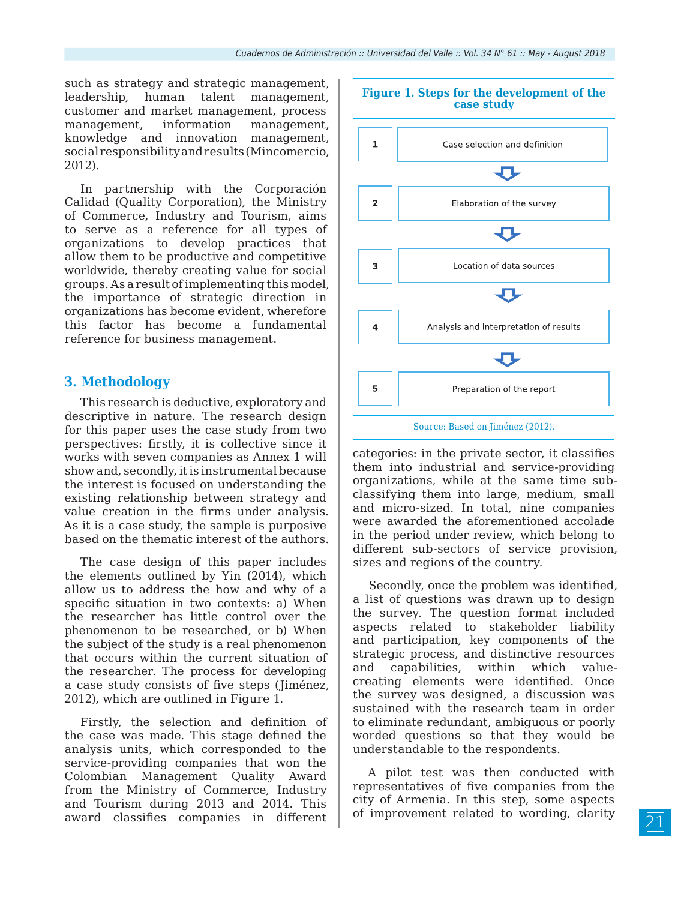such as strategy and strategic management, leadership, human talent management, customer and market management, process management, information management, knowledge and innovation management, social responsibility and results (Mincomercio, 2012).

In partnership with the Corporación Calidad (Quality Corporation), the Ministry of Commerce, Industry and Tourism, aims to serve as a reference for all types of organizations to develop practices that allow them to be productive and competitive worldwide, thereby creating value for social groups. As a result of implementing this model, the importance of strategic direction in organizations has become evident, wherefore this factor has become a fundamental reference for business management.

## **3. Methodology**

This research is deductive, exploratory and descriptive in nature. The research design for this paper uses the case study from two perspectives: firstly, it is collective since it works with seven companies as Annex 1 will show and, secondly, it is instrumental because the interest is focused on understanding the existing relationship between strategy and value creation in the firms under analysis. As it is a case study, the sample is purposive based on the thematic interest of the authors.

The case design of this paper includes the elements outlined by Yin (2014), which allow us to address the how and why of a specific situation in two contexts: a) When the researcher has little control over the phenomenon to be researched, or b) When the subject of the study is a real phenomenon that occurs within the current situation of the researcher. The process for developing a case study consists of five steps (Jiménez, 2012), which are outlined in Figure 1.

Firstly, the selection and definition of the case was made. This stage defined the analysis units, which corresponded to the service-providing companies that won the Colombian Management Quality Award from the Ministry of Commerce, Industry and Tourism during 2013 and 2014. This award classifies companies in different



categories: in the private sector, it classifies them into industrial and service-providing organizations, while at the same time subclassifying them into large, medium, small and micro-sized. In total, nine companies were awarded the aforementioned accolade in the period under review, which belong to different sub-sectors of service provision, sizes and regions of the country.

Secondly, once the problem was identified, a list of questions was drawn up to design the survey. The question format included aspects related to stakeholder liability and participation, key components of the strategic process, and distinctive resources and capabilities, within which valuecreating elements were identified. Once the survey was designed, a discussion was sustained with the research team in order to eliminate redundant, ambiguous or poorly worded questions so that they would be understandable to the respondents.

A pilot test was then conducted with representatives of five companies from the city of Armenia. In this step, some aspects of improvement related to wording, clarity

#### **Figure 1. Steps for the development of the case study**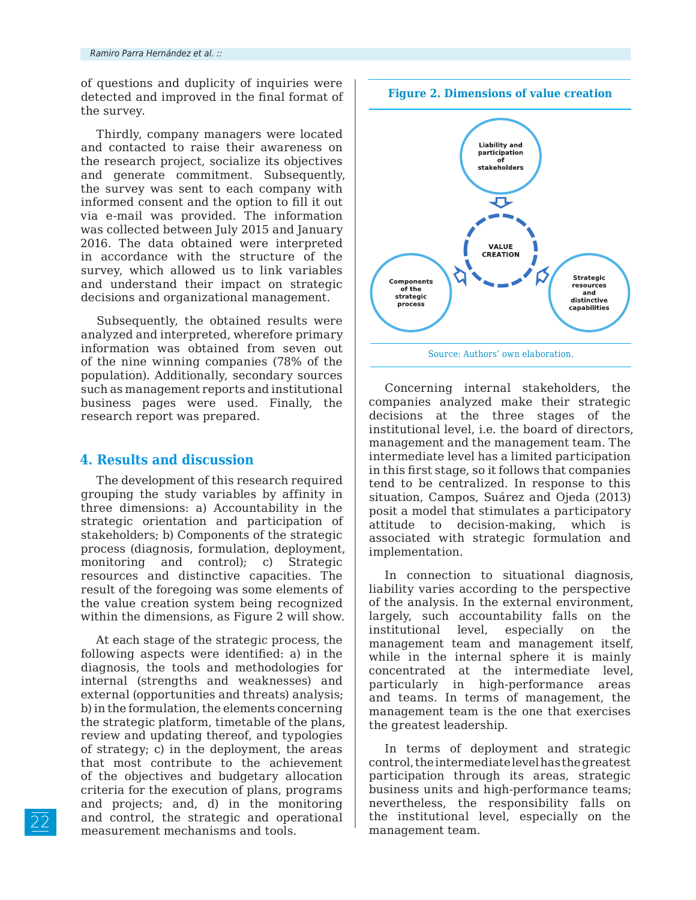of questions and duplicity of inquiries were detected and improved in the final format of the survey.

Thirdly, company managers were located and contacted to raise their awareness on the research project, socialize its objectives and generate commitment. Subsequently, the survey was sent to each company with informed consent and the option to fill it out via e-mail was provided. The information was collected between July 2015 and January 2016. The data obtained were interpreted in accordance with the structure of the survey, which allowed us to link variables and understand their impact on strategic decisions and organizational management.

Subsequently, the obtained results were analyzed and interpreted, wherefore primary information was obtained from seven out of the nine winning companies (78% of the population). Additionally, secondary sources such as management reports and institutional business pages were used. Finally, the research report was prepared.

## **4. Results and discussion**

The development of this research required grouping the study variables by affinity in three dimensions: a) Accountability in the strategic orientation and participation of stakeholders; b) Components of the strategic process (diagnosis, formulation, deployment, monitoring and control); c) Strategic resources and distinctive capacities. The result of the foregoing was some elements of the value creation system being recognized within the dimensions, as Figure 2 will show.

At each stage of the strategic process, the following aspects were identified: a) in the diagnosis, the tools and methodologies for internal (strengths and weaknesses) and external (opportunities and threats) analysis; b) in the formulation, the elements concerning the strategic platform, timetable of the plans, review and updating thereof, and typologies of strategy; c) in the deployment, the areas that most contribute to the achievement of the objectives and budgetary allocation criteria for the execution of plans, programs and projects; and, d) in the monitoring and control, the strategic and operational measurement mechanisms and tools.



Concerning internal stakeholders, the companies analyzed make their strategic decisions at the three stages of the institutional level, i.e. the board of directors, management and the management team. The intermediate level has a limited participation in this first stage, so it follows that companies tend to be centralized. In response to this situation, Campos, Suárez and Ojeda (2013) posit a model that stimulates a participatory attitude to decision-making, which is associated with strategic formulation and implementation.

In connection to situational diagnosis, liability varies according to the perspective of the analysis. In the external environment, largely, such accountability falls on the institutional level, especially on the management team and management itself, while in the internal sphere it is mainly concentrated at the intermediate level, particularly in high-performance areas and teams. In terms of management, the management team is the one that exercises the greatest leadership.

In terms of deployment and strategic control, the intermediate level has the greatest participation through its areas, strategic business units and high-performance teams; nevertheless, the responsibility falls on the institutional level, especially on the management team.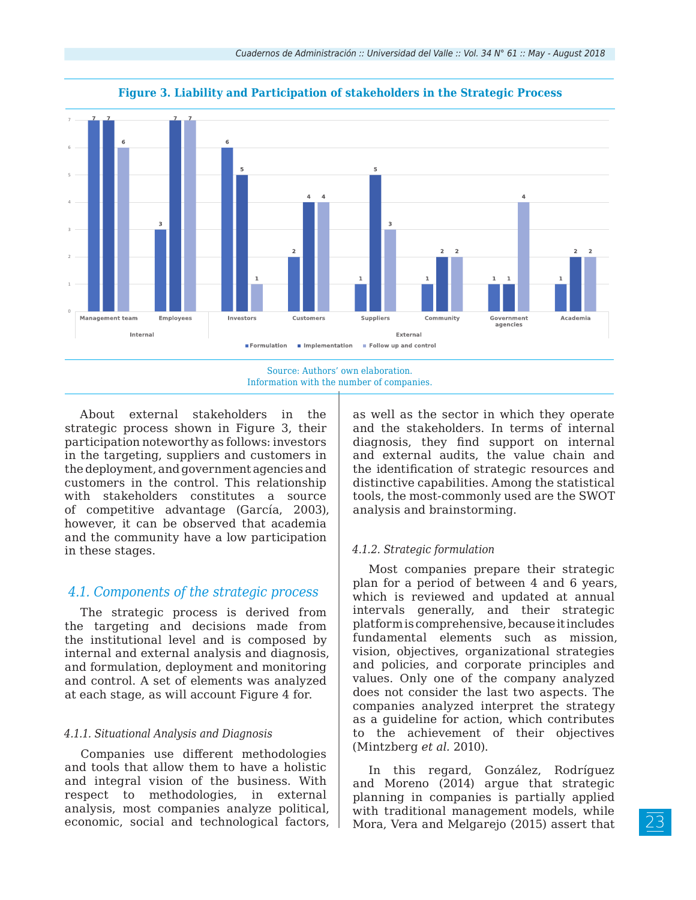

**Figure 3. Liability and Participation of stakeholders in the Strategic Process**

Source: Authors' own elaboration. Information with the number of companies.

About external stakeholders in the strategic process shown in Figure 3, their participation noteworthy as follows: investors in the targeting, suppliers and customers in the deployment, and government agencies and customers in the control. This relationship with stakeholders constitutes a source of competitive advantage (García, 2003), however, it can be observed that academia and the community have a low participation in these stages.

## *4.1. Components of the strategic process*

The strategic process is derived from the targeting and decisions made from the institutional level and is composed by internal and external analysis and diagnosis, and formulation, deployment and monitoring and control. A set of elements was analyzed at each stage, as will account Figure 4 for.

#### *4.1.1. Situational Analysis and Diagnosis*

Companies use different methodologies and tools that allow them to have a holistic and integral vision of the business. With respect to methodologies, in external analysis, most companies analyze political, economic, social and technological factors,

as well as the sector in which they operate and the stakeholders. In terms of internal diagnosis, they find support on internal and external audits, the value chain and the identification of strategic resources and distinctive capabilities. Among the statistical tools, the most-commonly used are the SWOT analysis and brainstorming.

#### *4.1.2. Strategic formulation*

Most companies prepare their strategic plan for a period of between 4 and 6 years, which is reviewed and updated at annual intervals generally, and their strategic platform is comprehensive, because it includes fundamental elements such as mission, vision, objectives, organizational strategies and policies, and corporate principles and values. Only one of the company analyzed does not consider the last two aspects. The companies analyzed interpret the strategy as a guideline for action, which contributes to the achievement of their objectives (Mintzberg *et al.* 2010).

In this regard, González, Rodríguez and Moreno (2014) argue that strategic planning in companies is partially applied with traditional management models, while Mora, Vera and Melgarejo (2015) assert that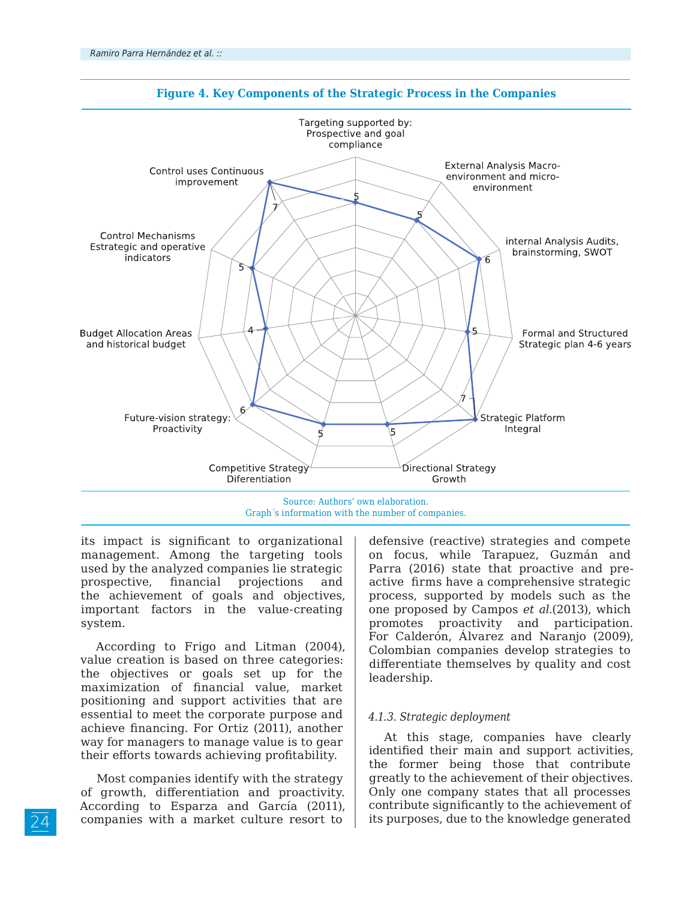

#### **Figure 4. Key Components of the Strategic Process in the Companies**

its impact is significant to organizational management. Among the targeting tools used by the analyzed companies lie strategic prospective, financial projections and the achievement of goals and objectives, important factors in the value-creating system.

According to Frigo and Litman (2004), value creation is based on three categories: the objectives or goals set up for the maximization of financial value, market positioning and support activities that are essential to meet the corporate purpose and achieve financing. For Ortiz (2011), another way for managers to manage value is to gear their efforts towards achieving profitability.

Most companies identify with the strategy of growth, differentiation and proactivity. According to Esparza and García (2011), companies with a market culture resort to

defensive (reactive) strategies and compete on focus, while Tarapuez, Guzmán and Parra (2016) state that proactive and preactive firms have a comprehensive strategic process, supported by models such as the one proposed by Campos *et al.*(2013), which promotes proactivity and participation. For Calderón, Álvarez and Naranjo (2009), Colombian companies develop strategies to differentiate themselves by quality and cost leadership.

#### *4.1.3. Strategic deployment*

At this stage, companies have clearly identified their main and support activities, the former being those that contribute greatly to the achievement of their objectives. Only one company states that all processes contribute significantly to the achievement of its purposes, due to the knowledge generated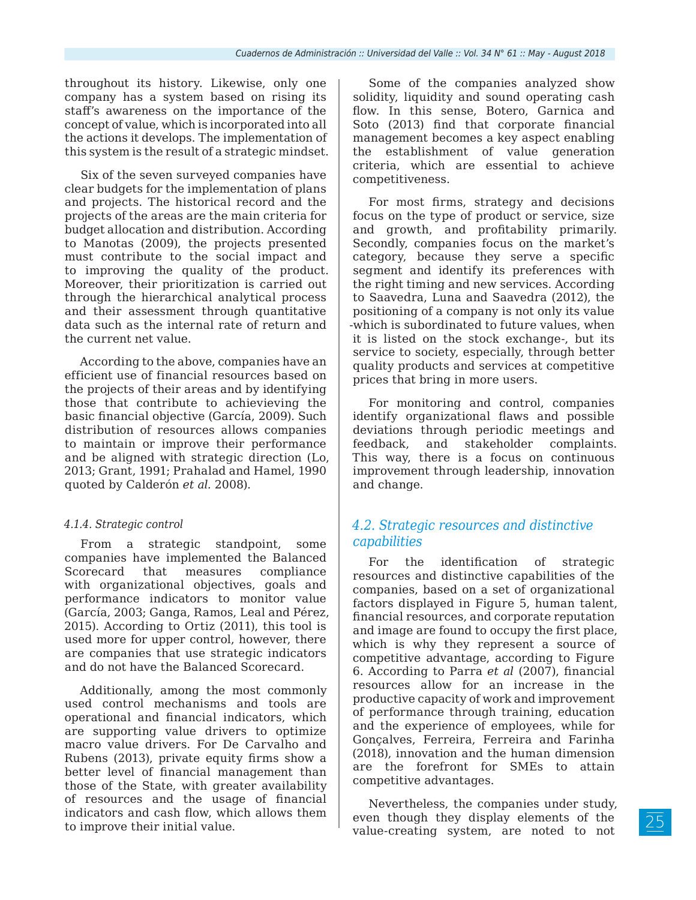throughout its history. Likewise, only one company has a system based on rising its staff's awareness on the importance of the concept of value, which is incorporated into all the actions it develops. The implementation of this system is the result of a strategic mindset.

Six of the seven surveyed companies have clear budgets for the implementation of plans and projects. The historical record and the projects of the areas are the main criteria for budget allocation and distribution. According to Manotas (2009), the projects presented must contribute to the social impact and to improving the quality of the product. Moreover, their prioritization is carried out through the hierarchical analytical process and their assessment through quantitative data such as the internal rate of return and the current net value.

According to the above, companies have an efficient use of financial resources based on the projects of their areas and by identifying those that contribute to achievieving the basic financial objective (García, 2009). Such distribution of resources allows companies to maintain or improve their performance and be aligned with strategic direction (Lo, 2013; Grant, 1991; Prahalad and Hamel, 1990 quoted by Calderón *et al.* 2008).

## *4.1.4. Strategic control*

From a strategic standpoint, some companies have implemented the Balanced Scorecard that measures compliance with organizational objectives, goals and performance indicators to monitor value (García, 2003; Ganga, Ramos, Leal and Pérez, 2015). According to Ortiz (2011), this tool is used more for upper control, however, there are companies that use strategic indicators and do not have the Balanced Scorecard.

Additionally, among the most commonly used control mechanisms and tools are operational and financial indicators, which are supporting value drivers to optimize macro value drivers. For De Carvalho and Rubens (2013), private equity firms show a better level of financial management than those of the State, with greater availability of resources and the usage of financial indicators and cash flow, which allows them to improve their initial value.

Some of the companies analyzed show solidity, liquidity and sound operating cash flow. In this sense, Botero, Garnica and Soto (2013) find that corporate financial management becomes a key aspect enabling the establishment of value generation criteria, which are essential to achieve competitiveness.

For most firms, strategy and decisions focus on the type of product or service, size and growth, and profitability primarily. Secondly, companies focus on the market's category, because they serve a specific segment and identify its preferences with the right timing and new services. According to Saavedra, Luna and Saavedra (2012), the positioning of a company is not only its value -which is subordinated to future values, when it is listed on the stock exchange-, but its service to society, especially, through better quality products and services at competitive prices that bring in more users.

For monitoring and control, companies identify organizational flaws and possible deviations through periodic meetings and feedback, and stakeholder complaints. This way, there is a focus on continuous improvement through leadership, innovation and change.

## *4.2. Strategic resources and distinctive capabilities*

For the identification of strategic resources and distinctive capabilities of the companies, based on a set of organizational factors displayed in Figure 5, human talent, financial resources, and corporate reputation and image are found to occupy the first place, which is why they represent a source of competitive advantage, according to Figure 6. According to Parra *et al* (2007), financial resources allow for an increase in the productive capacity of work and improvement of performance through training, education and the experience of employees, while for Gonçalves, Ferreira, Ferreira and Farinha (2018), innovation and the human dimension are the forefront for SMEs to attain competitive advantages.

Nevertheless, the companies under study, even though they display elements of the value-creating system, are noted to not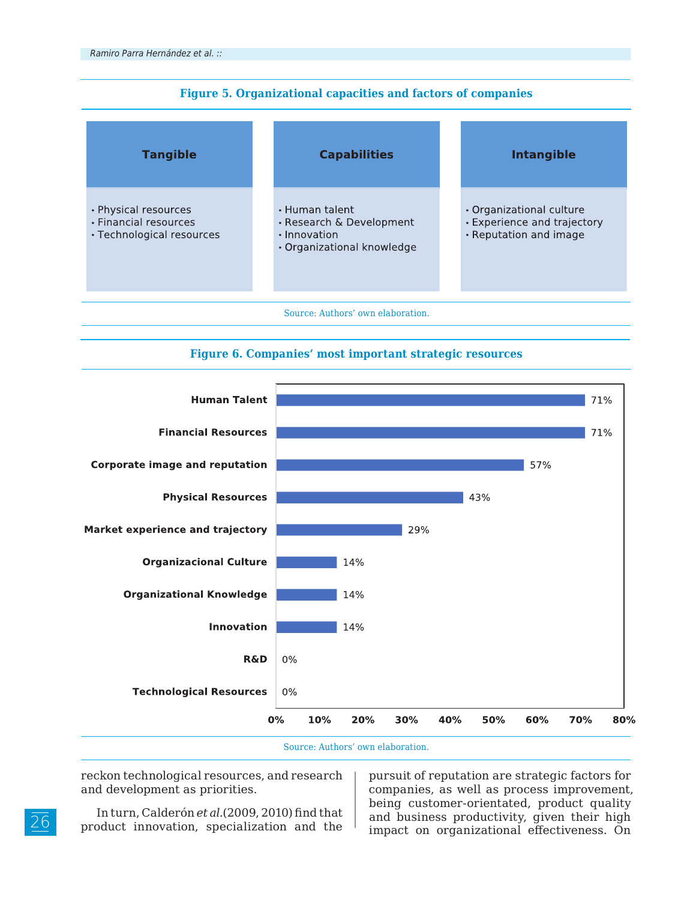| <b>Figure 5. Organizational capacities and factors of companies</b> |  |  |  |
|---------------------------------------------------------------------|--|--|--|
|                                                                     |  |  |  |

| <b>Tangible</b>                                                            | <b>Capabilities</b>                                                                      | <b>Intangible</b>                                                                 |
|----------------------------------------------------------------------------|------------------------------------------------------------------------------------------|-----------------------------------------------------------------------------------|
| • Physical resources<br>• Financial resources<br>• Technological resources | • Human talent<br>• Research & Development<br>· Innovation<br>• Organizational knowledge | • Organizational culture<br>• Experience and trajectory<br>• Reputation and image |





Source: Authors' own elaboration.

reckon technological resources, and research and development as priorities.

In turn, Calderón *et al.*(2009, 2010) find that product innovation, specialization and the

pursuit of reputation are strategic factors for companies, as well as process improvement, being customer-orientated, product quality and business productivity, given their high impact on organizational effectiveness. On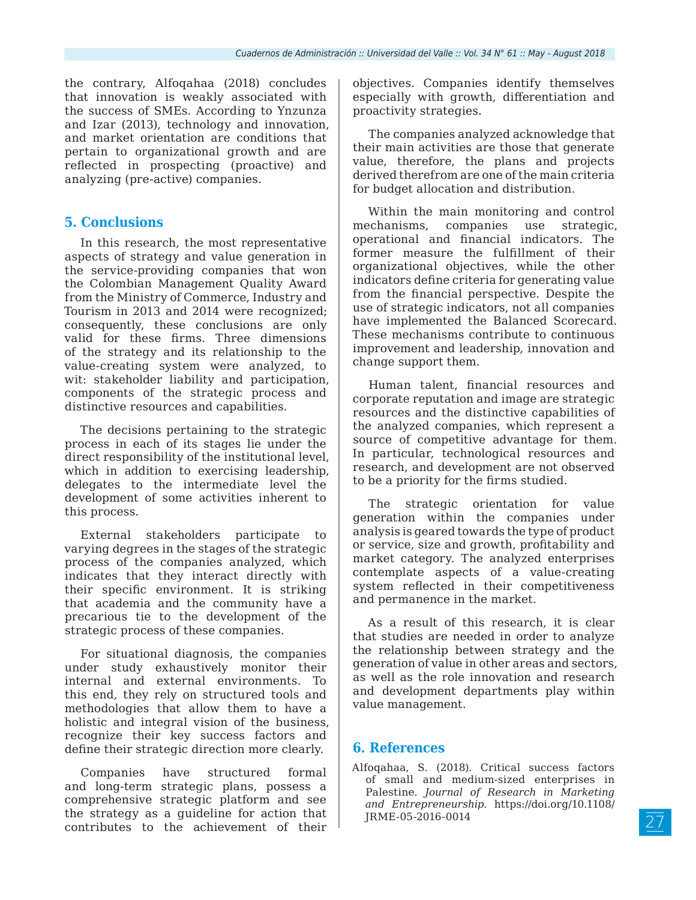the contrary, Alfoqahaa (2018) concludes that innovation is weakly associated with the success of SMEs. According to Ynzunza and Izar (2013), technology and innovation, and market orientation are conditions that pertain to organizational growth and are reflected in prospecting (proactive) and analyzing (pre-active) companies.

## **5. Conclusions**

In this research, the most representative aspects of strategy and value generation in the service-providing companies that won the Colombian Management Quality Award from the Ministry of Commerce, Industry and Tourism in 2013 and 2014 were recognized; consequently, these conclusions are only valid for these firms. Three dimensions of the strategy and its relationship to the value-creating system were analyzed, to wit: stakeholder liability and participation, components of the strategic process and distinctive resources and capabilities.

The decisions pertaining to the strategic process in each of its stages lie under the direct responsibility of the institutional level, which in addition to exercising leadership. delegates to the intermediate level the development of some activities inherent to this process.

External stakeholders participate to varying degrees in the stages of the strategic process of the companies analyzed, which indicates that they interact directly with their specific environment. It is striking that academia and the community have a precarious tie to the development of the strategic process of these companies.

For situational diagnosis, the companies under study exhaustively monitor their internal and external environments. To this end, they rely on structured tools and methodologies that allow them to have a holistic and integral vision of the business, recognize their key success factors and define their strategic direction more clearly.

Companies have structured formal and long-term strategic plans, possess a comprehensive strategic platform and see the strategy as a guideline for action that contributes to the achievement of their objectives. Companies identify themselves especially with growth, differentiation and proactivity strategies.

The companies analyzed acknowledge that their main activities are those that generate value, therefore, the plans and projects derived therefrom are one of the main criteria for budget allocation and distribution.

Within the main monitoring and control mechanisms, companies use strategic, operational and financial indicators. The former measure the fulfillment of their organizational objectives, while the other indicators define criteria for generating value from the financial perspective. Despite the use of strategic indicators, not all companies have implemented the Balanced Scorecard. These mechanisms contribute to continuous improvement and leadership, innovation and change support them.

Human talent, financial resources and corporate reputation and image are strategic resources and the distinctive capabilities of the analyzed companies, which represent a source of competitive advantage for them. In particular, technological resources and research, and development are not observed to be a priority for the firms studied.

The strategic orientation for value generation within the companies under analysis is geared towards the type of product or service, size and growth, profitability and market category. The analyzed enterprises contemplate aspects of a value-creating system reflected in their competitiveness and permanence in the market.

As a result of this research, it is clear that studies are needed in order to analyze the relationship between strategy and the generation of value in other areas and sectors, as well as the role innovation and research and development departments play within value management.

## **6. References**

Alfoqahaa, S. (2018). Critical success factors of small and medium-sized enterprises in Palestine. *Journal of Research in Marketing and Entrepreneurship.* https://doi.org/10.1108/ JRME-05-2016-0014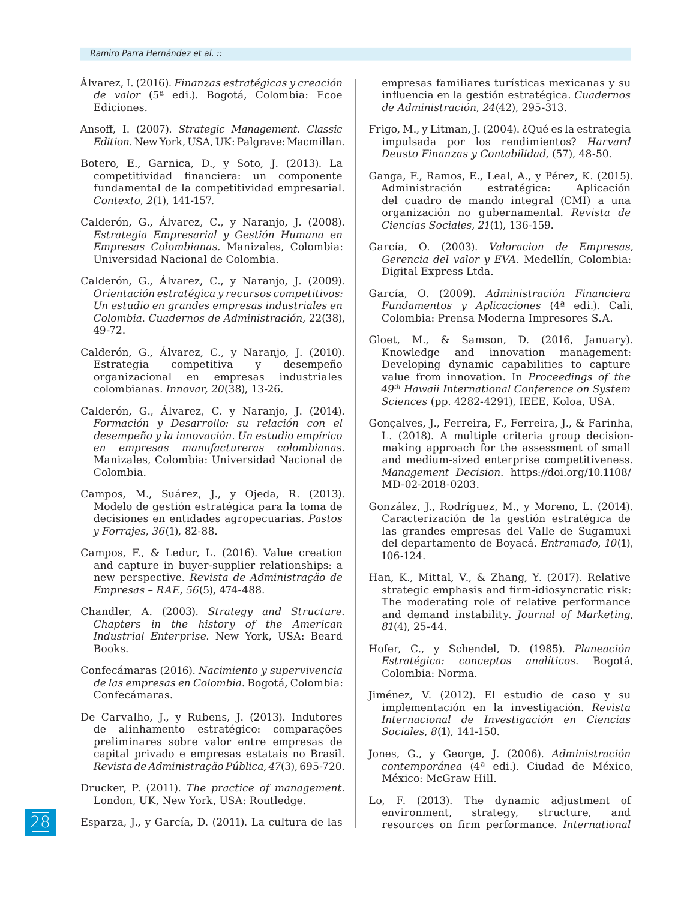- Álvarez, I. (2016). *Finanzas estratégicas y creación de valor* (5ª edi.). Bogotá, Colombia: Ecoe Ediciones.
- Ansoff, I. (2007). *Strategic Management. Classic Edition*. New York, USA, UK: Palgrave: Macmillan.
- Botero, E., Garnica, D., y Soto, J. (2013). La competitividad financiera: un componente fundamental de la competitividad empresarial. *Contexto*, *2*(1), 141-157.
- Calderón, G., Álvarez, C., y Naranjo, J. (2008). *Estrategia Empresarial y Gestión Humana en Empresas Colombianas.* Manizales, Colombia: Universidad Nacional de Colombia.
- Calderón, G., Álvarez, C., y Naranjo, J. (2009). *Orientación estratégica y recursos competitivos: Un estudio en grandes empresas industriales en Colombia*. *Cuadernos de Administración*, 22(38), 49-72.
- Calderón, G., Álvarez, C., y Naranjo, J. (2010). Estrategia competitiva y desempeño organizacional en empresas industriales colombianas*. Innovar, 20*(38), 13-26.
- Calderón, G., Álvarez, C. y Naranjo, J. (2014). *Formación y Desarrollo: su relación con el desempeño y la innovación. Un estudio empírico en empresas manufactureras colombianas.*  Manizales, Colombia: Universidad Nacional de Colombia.
- Campos, M., Suárez, J., y Ojeda, R. (2013). Modelo de gestión estratégica para la toma de decisiones en entidades agropecuarias. *Pastos y Forrajes*, *36*(1), 82-88.
- Campos, F., & Ledur, L. (2016). Value creation and capture in buyer-supplier relationships: a new perspective. *Revista de Administração de Empresas – RAE*, *56*(5), 474-488.
- Chandler, A. (2003). *Strategy and Structure. Chapters in the history of the American Industrial Enterprise*. New York, USA: Beard Books.
- Confecámaras (2016). *Nacimiento y supervivencia de las empresas en Colombia*. Bogotá, Colombia: Confecámaras.
- De Carvalho, J., y Rubens, J. (2013). Indutores de alinhamento estratégico: comparações preliminares sobre valor entre empresas de capital privado e empresas estatais no Brasil. *Revista de Administração Pública*, *47*(3), 695-720.
- Drucker, P. (2011). *The practice of management.* London, UK, New York, USA: Routledge.
- Esparza, J., y García, D. (2011). La cultura de las

empresas familiares turísticas mexicanas y su influencia en la gestión estratégica. *Cuadernos de Administración*, *24*(42), 295-313.

- Frigo, M., y Litman, J. (2004). ¿Qué es la estrategia impulsada por los rendimientos? *Harvard Deusto Finanzas y Contabilidad*, (57), 48-50.
- Ganga, F., Ramos, E., Leal, A., y Pérez, K. (2015). Administración estratégica: Aplicación del cuadro de mando integral (CMI) a una organización no gubernamental. *Revista de Ciencias Sociales*, *21*(1), 136-159.
- García, O. (2003). *Valoracion de Empresas, Gerencia del valor y EVA*. Medellín, Colombia: Digital Express Ltda.
- García, O. (2009). *Administración Financiera Fundamentos y Aplicaciones* (4ª edi.). Cali, Colombia: Prensa Moderna Impresores S.A.
- Gloet, M., & Samson, D. (2016, January). Knowledge and innovation management: Developing dynamic capabilities to capture value from innovation. In *Proceedings of the 49th Hawaii International Conference on System Sciences* (pp. 4282-4291), IEEE, Koloa, USA.
- Gonçalves, J., Ferreira, F., Ferreira, J., & Farinha, L. (2018). A multiple criteria group decisionmaking approach for the assessment of small and medium-sized enterprise competitiveness. *Management Decision*. https://doi.org/10.1108/ MD-02-2018-0203.
- González, J., Rodríguez, M., y Moreno, L. (2014). Caracterización de la gestión estratégica de las grandes empresas del Valle de Sugamuxi del departamento de Boyacá. *Entramado*, *10*(1), 106-124.
- Han, K., Mittal, V., & Zhang, Y. (2017). Relative strategic emphasis and firm-idiosyncratic risk: The moderating role of relative performance and demand instability. *Journal of Marketing*, *81*(4), 25-44.
- Hofer, C., y Schendel, D. (1985). *Planeación Estratégica: conceptos analíticos*. Bogotá, Colombia: Norma.
- Jiménez, V. (2012). El estudio de caso y su implementación en la investigación. *Revista Internacional de Investigación en Ciencias Sociales*, *8*(1), 141-150.
- Jones, G., y George, J. (2006). *Administración contemporánea* (4ª edi.). Ciudad de México, México: McGraw Hill.
- Lo, F. (2013). The dynamic adjustment of environment, strategy, structure, and resources on firm performance. *International*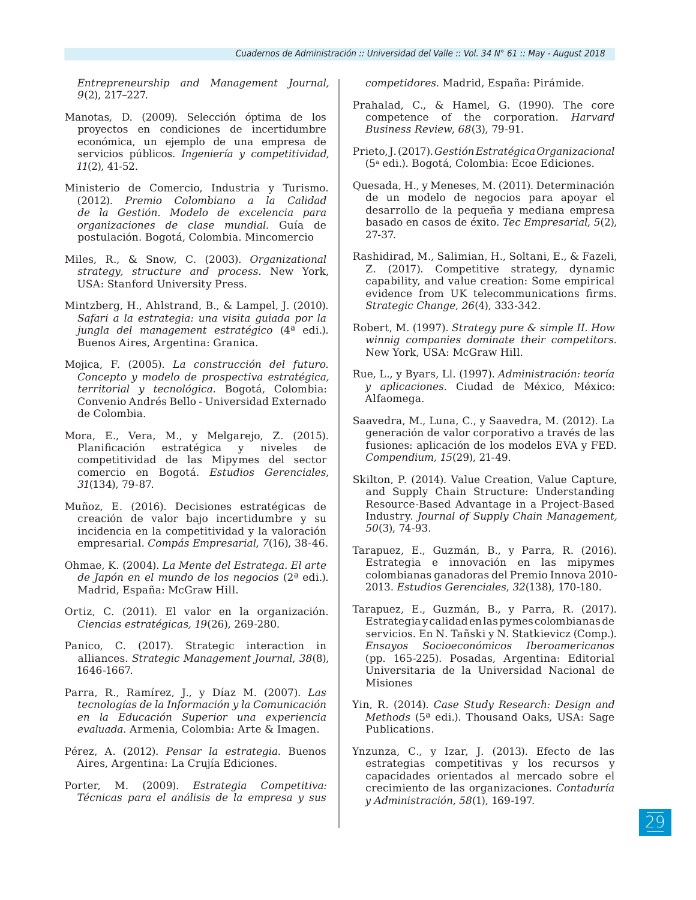*Entrepreneurship and Management Journal, 9*(2), 217–227.

- Manotas, D. (2009). Selección óptima de los proyectos en condiciones de incertidumbre económica, un ejemplo de una empresa de servicios públicos. *Ingeniería y competitividad, 11*(2), 41-52.
- Ministerio de Comercio, Industria y Turismo. (2012). *Premio Colombiano a la Calidad de la Gestión. Modelo de excelencia para organizaciones de clase mundial.* Guía de postulación. Bogotá, Colombia. Mincomercio
- Miles, R., & Snow, C. (2003). *Organizational strategy, structure and process*. New York, USA: Stanford University Press.
- Mintzberg, H., Ahlstrand, B., & Lampel, J. (2010). *Safari a la estrategia: una visita guiada por la jungla del management estratégico* (4ª edi.)*.*  Buenos Aires, Argentina: Granica.
- Mojica, F. (2005). *La construcción del futuro. Concepto y modelo de prospectiva estratégica, territorial y tecnológica.* Bogotá, Colombia: Convenio Andrés Bello - Universidad Externado de Colombia.
- Mora, E., Vera, M., y Melgarejo, Z. (2015). Planificación estratégica y niveles de competitividad de las Mipymes del sector comercio en Bogotá. *Estudios Gerenciales*, *31*(134), 79-87.
- Muñoz, E. (2016). Decisiones estratégicas de creación de valor bajo incertidumbre y su incidencia en la competitividad y la valoración empresarial. *Compás Empresarial*, *7*(16), 38-46.
- Ohmae, K. (2004). *La Mente del Estratega. El arte de Japón en el mundo de los negocios* (2ª edi.)*.* Madrid, España: McGraw Hill.
- Ortiz, C. (2011). El valor en la organización. *Ciencias estratégicas, 19*(26), 269-280.
- Panico, C. (2017). Strategic interaction in alliances. *Strategic Management Journal*, *38*(8), 1646-1667.
- Parra, R., Ramírez, J., y Díaz M. (2007). *Las tecnologías de la Información y la Comunicación en la Educación Superior una experiencia evaluada.* Armenia, Colombia: Arte & Imagen.
- Pérez, A. (2012). *Pensar la estrategia.* Buenos Aires, Argentina: La Crujía Ediciones.
- Porter, M. (2009). *Estrategia Competitiva: Técnicas para el análisis de la empresa y sus*

*competidores*. Madrid, España: Pirámide.

- Prahalad, C., & Hamel, G. (1990). The core competence of the corporation. *Harvard Business Review*, *68*(3), 79-91.
- Prieto, J. (2017). *Gestión Estratégica Organizacional*  (5a edi.)*.* Bogotá, Colombia: Ecoe Ediciones.
- Quesada, H., y Meneses, M. (2011). Determinación de un modelo de negocios para apoyar el desarrollo de la pequeña y mediana empresa basado en casos de éxito*. Tec Empresarial*, *5*(2), 27-37.
- Rashidirad, M., Salimian, H., Soltani, E., & Fazeli, Z. (2017). Competitive strategy, dynamic capability, and value creation: Some empirical evidence from UK telecommunications firms. *Strategic Change*, *26*(4), 333-342.
- Robert, M. (1997). *Strategy pure & simple II. How winnig companies dominate their competitors.* New York, USA: McGraw Hill.
- Rue, L., y Byars, Ll. (1997). *Administración: teoría y aplicaciones.* Ciudad de México, México: Alfaomega.
- Saavedra, M., Luna, C., y Saavedra, M. (2012). La generación de valor corporativo a través de las fusiones: aplicación de los modelos EVA y FED. *Compendium, 15*(29), 21-49.
- Skilton, P. (2014). Value Creation, Value Capture, and Supply Chain Structure: Understanding Resource-Based Advantage in a Project-Based Industry. *Journal of Supply Chain Management, 50*(3), 74-93.
- Tarapuez, E., Guzmán, B., y Parra, R. (2016). Estrategia e innovación en las mipymes colombianas ganadoras del Premio Innova 2010- 2013. *Estudios Gerenciales*, *32*(138), 170-180.
- Tarapuez, E., Guzmán, B., y Parra, R. (2017). Estrategia y calidad en las pymes colombianas de servicios. En N. Tañski y N. Statkievicz (Comp.). *Ensayos Socioeconómicos Iberoamericanos* (pp. 165-225). Posadas, Argentina: Editorial Universitaria de la Universidad Nacional de Misiones
- Yin, R. (2014). *Case Study Research: Design and Methods* (5ª edi.). Thousand Oaks, USA: Sage Publications.
- Ynzunza, C., y Izar, J. (2013). Efecto de las estrategias competitivas y los recursos y capacidades orientados al mercado sobre el crecimiento de las organizaciones. *Contaduría y Administración, 58*(1), 169-197.